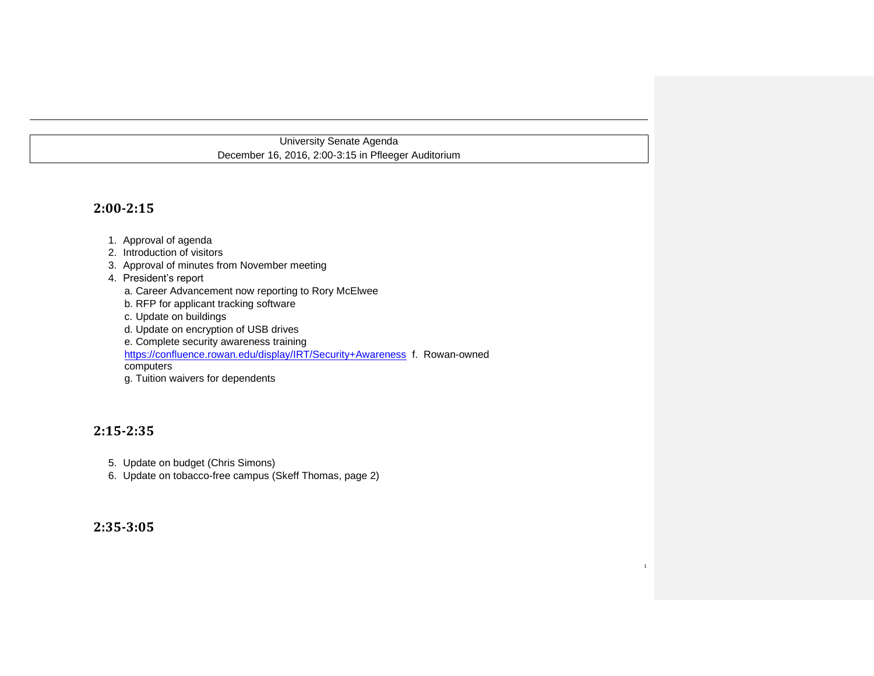# University Senate Agenda December 16, 2016, 2:00-3:15 in Pfleeger Auditorium

# **2:00-2:15**

- 1. Approval of agenda
- 2. Introduction of visitors
- 3. Approval of minutes from November meeting
- 4. President's report
	- a. Career Advancement now reporting to Rory McElwee
	- b. RFP for applicant tracking software
	- c. Update on buildings
	- d. Update on encryption of USB drives
	- e. Complete security awareness training
	- https://confluence.rowan.edu/display/IRT/Security+Awareness f. Rowan-owned

1

- computers
- g. Tuition waivers for dependents

# **2:15-2:35**

- 5. Update on budget (Chris Simons)
- 6. Update on tobacco-free campus (Skeff Thomas, page 2)

# **2:35-3:05**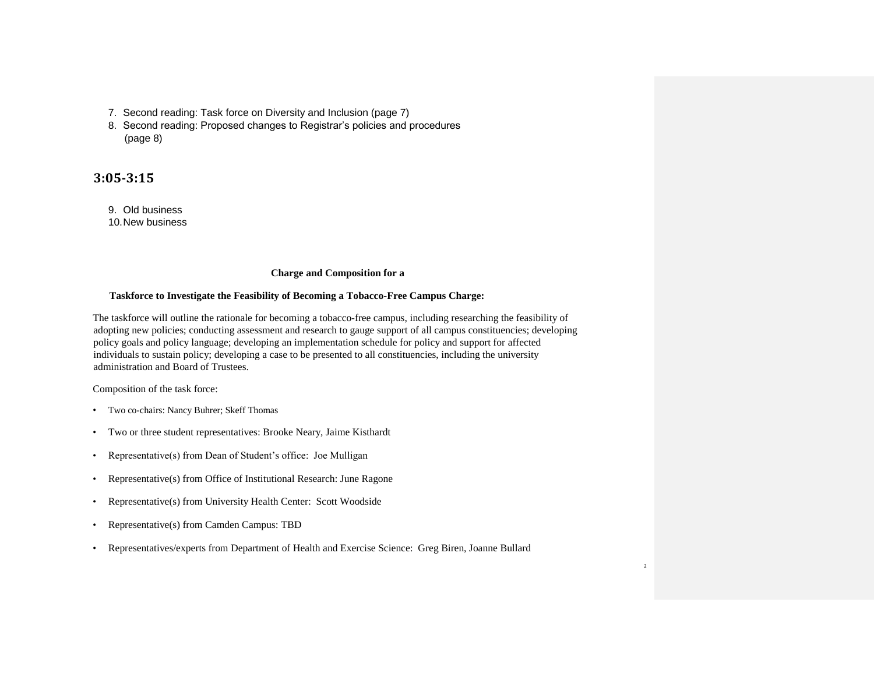- 7. Second reading: Task force on Diversity and Inclusion (page 7)
- 8. Second reading: Proposed changes to Registrar's policies and procedures (page 8)

# **3:05-3:15**

- 9. Old business
- 10.New business

### **Charge and Composition for a**

### **Taskforce to Investigate the Feasibility of Becoming a Tobacco-Free Campus Charge:**

The taskforce will outline the rationale for becoming a tobacco-free campus, including researching the feasibility of adopting new policies; conducting assessment and research to gauge support of all campus constituencies; developing policy goals and policy language; developing an implementation schedule for policy and support for affected individuals to sustain policy; developing a case to be presented to all constituencies, including the university administration and Board of Trustees.

Composition of the task force:

- Two co-chairs: Nancy Buhrer; Skeff Thomas
- Two or three student representatives: Brooke Neary, Jaime Kisthardt
- Representative(s) from Dean of Student's office: Joe Mulligan
- Representative(s) from Office of Institutional Research: June Ragone
- Representative(s) from University Health Center: Scott Woodside
- Representative(s) from Camden Campus: TBD
- Representatives/experts from Department of Health and Exercise Science: Greg Biren, Joanne Bullard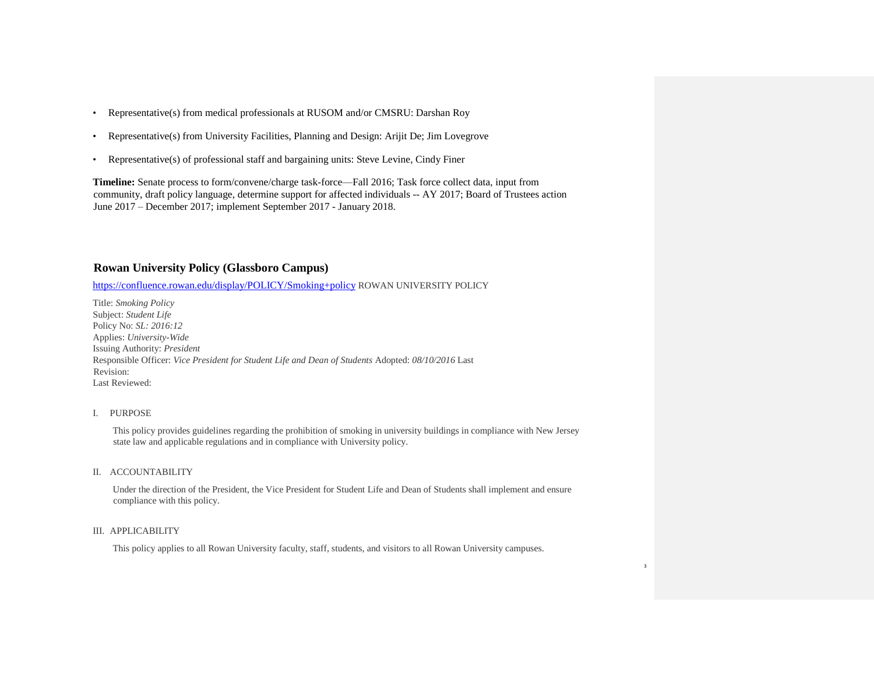- Representative(s) from medical professionals at RUSOM and/or CMSRU: Darshan Roy
- Representative(s) from University Facilities, Planning and Design: Arijit De; Jim Lovegrove
- Representative(s) of professional staff and bargaining units: Steve Levine, Cindy Finer

**Timeline:** Senate process to form/convene/charge task-force—Fall 2016; Task force collect data, input from community, draft policy language, determine support for affected individuals -- AY 2017; Board of Trustees action June 2017 – December 2017; implement September 2017 - January 2018.

# **Rowan University Policy (Glassboro Campus)**

https://confluence.rowan.edu/display/POLICY/Smoking+policy ROWAN UNIVERSITY POLICY

Title: *Smoking Policy* Subject: *Student Life* Policy No: *SL: 2016:12* Applies: *University-Wide* Issuing Authority: *President* Responsible Officer: *Vice President for Student Life and Dean of Students* Adopted: *08/10/2016* Last Revision: Last Reviewed:

### I. PURPOSE

This policy provides guidelines regarding the prohibition of smoking in university buildings in compliance with New Jersey state law and applicable regulations and in compliance with University policy.

#### II. ACCOUNTABILITY

Under the direction of the President, the Vice President for Student Life and Dean of Students shall implement and ensure compliance with this policy.

3

### III. APPLICABILITY

This policy applies to all Rowan University faculty, staff, students, and visitors to all Rowan University campuses.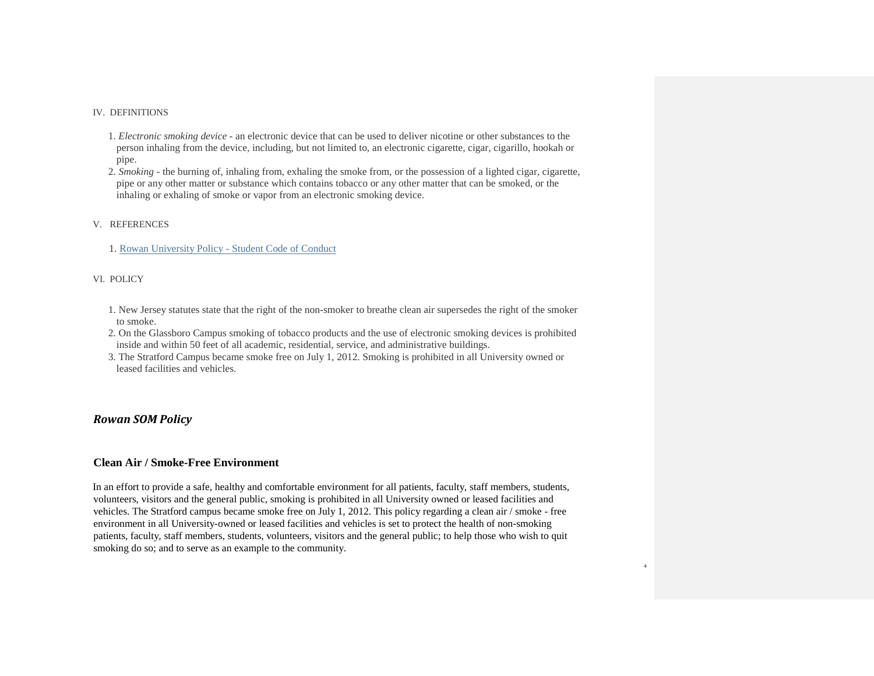### IV. DEFINITIONS

- 1. *Electronic smoking device* an electronic device that can be used to deliver nicotine or other substances to the person inhaling from the device, including, but not limited to, an electronic cigarette, cigar, cigarillo, hookah or pipe.
- 2. *Smoking* the burning of, inhaling from, exhaling the smoke from, or the possession of a lighted cigar, cigarette, pipe or any other matter or substance which contains tobacco or any other matter that can be smoked, or the inhaling or exhaling of smoke or vapor from an electronic smoking device.

### V. REFERENCES

1. Rowan University Policy - Student Code of Conduct

### VI. POLICY

- 1. New Jersey statutes state that the right of the non-smoker to breathe clean air supersedes the right of the smoker to smoke.
- 2. On the Glassboro Campus smoking of tobacco products and the use of electronic smoking devices is prohibited inside and within 50 feet of all academic, residential, service, and administrative buildings.
- 3. The Stratford Campus became smoke free on July 1, 2012. Smoking is prohibited in all University owned or leased facilities and vehicles.

# *Rowan SOM Policy*

### **Clean Air / Smoke-Free Environment**

In an effort to provide a safe, healthy and comfortable environment for all patients, faculty, staff members, students, volunteers, visitors and the general public, smoking is prohibited in all University owned or leased facilities and vehicles. The Stratford campus became smoke free on July 1, 2012. This policy regarding a clean air / smoke - free environment in all University-owned or leased facilities and vehicles is set to protect the health of non-smoking patients, faculty, staff members, students, volunteers, visitors and the general public; to help those who wish to quit smoking do so; and to serve as an example to the community.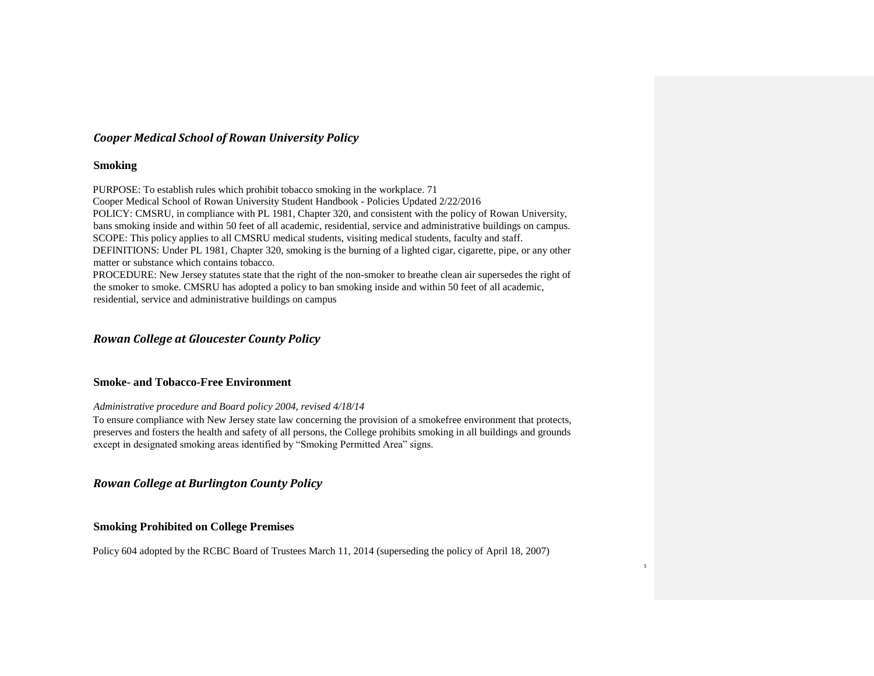# *Cooper Medical School of Rowan University Policy*

## **Smoking**

PURPOSE: To establish rules which prohibit tobacco smoking in the workplace. 71 Cooper Medical School of Rowan University Student Handbook - Policies Updated 2/22/2016 POLICY: CMSRU, in compliance with PL 1981, Chapter 320, and consistent with the policy of Rowan University, bans smoking inside and within 50 feet of all academic, residential, service and administrative buildings on campus. SCOPE: This policy applies to all CMSRU medical students, visiting medical students, faculty and staff. DEFINITIONS: Under PL 1981, Chapter 320, smoking is the burning of a lighted cigar, cigarette, pipe, or any other matter or substance which contains tobacco. PROCEDURE: New Jersey statutes state that the right of the non-smoker to breathe clean air supersedes the right of the smoker to smoke. CMSRU has adopted a policy to ban smoking inside and within 50 feet of all academic, residential, service and administrative buildings on campus

# *Rowan College at Gloucester County Policy*

# **Smoke- and Tobacco-Free Environment**

*Administrative procedure and Board policy 2004, revised 4/18/14* 

To ensure compliance with New Jersey state law concerning the provision of a smokefree environment that protects, preserves and fosters the health and safety of all persons, the College prohibits smoking in all buildings and grounds except in designated smoking areas identified by "Smoking Permitted Area" signs.

*Rowan College at Burlington County Policy* 

# **Smoking Prohibited on College Premises**

Policy 604 adopted by the RCBC Board of Trustees March 11, 2014 (superseding the policy of April 18, 2007)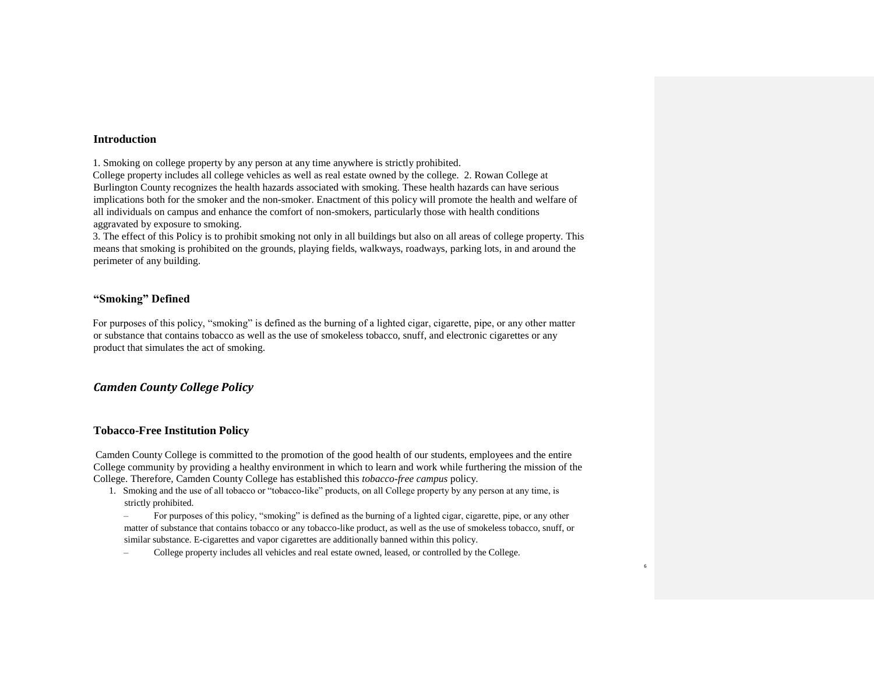### **Introduction**

1. Smoking on college property by any person at any time anywhere is strictly prohibited.

College property includes all college vehicles as well as real estate owned by the college. 2. Rowan College at Burlington County recognizes the health hazards associated with smoking. These health hazards can have serious implications both for the smoker and the non-smoker. Enactment of this policy will promote the health and welfare of all individuals on campus and enhance the comfort of non-smokers, particularly those with health conditions aggravated by exposure to smoking.

3. The effect of this Policy is to prohibit smoking not only in all buildings but also on all areas of college property. This means that smoking is prohibited on the grounds, playing fields, walkways, roadways, parking lots, in and around the perimeter of any building.

# **"Smoking" Defined**

For purposes of this policy, "smoking" is defined as the burning of a lighted cigar, cigarette, pipe, or any other matter or substance that contains tobacco as well as the use of smokeless tobacco, snuff, and electronic cigarettes or any product that simulates the act of smoking.

# *Camden County College Policy*

### **Tobacco-Free Institution Policy**

Camden County College is committed to the promotion of the good health of our students, employees and the entire College community by providing a healthy environment in which to learn and work while furthering the mission of the College. Therefore, Camden County College has established this *tobacco-free campus* policy.

- 1. Smoking and the use of all tobacco or "tobacco-like" products, on all College property by any person at any time, is strictly prohibited.
	- For purposes of this policy, "smoking" is defined as the burning of a lighted cigar, cigarette, pipe, or any other matter of substance that contains tobacco or any tobacco-like product, as well as the use of smokeless tobacco, snuff, or similar substance. E-cigarettes and vapor cigarettes are additionally banned within this policy.

6

– College property includes all vehicles and real estate owned, leased, or controlled by the College.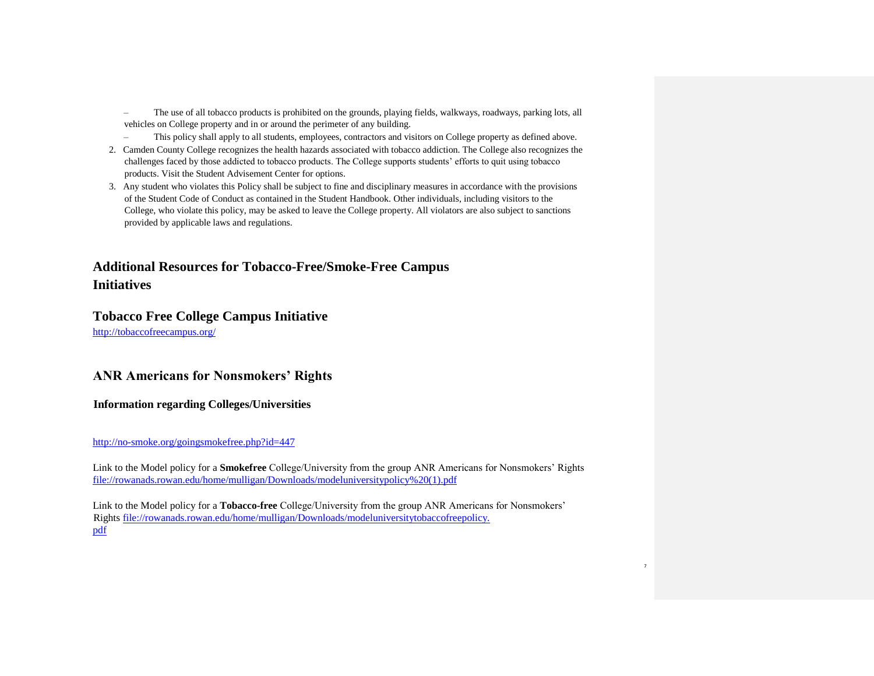- The use of all tobacco products is prohibited on the grounds, playing fields, walkways, roadways, parking lots, all vehicles on College property and in or around the perimeter of any building.
- This policy shall apply to all students, employees, contractors and visitors on College property as defined above.
- 2. Camden County College recognizes the health hazards associated with tobacco addiction. The College also recognizes the challenges faced by those addicted to tobacco products. The College supports students' efforts to quit using tobacco products. Visit the Student Advisement Center for options.
- 3. Any student who violates this Policy shall be subject to fine and disciplinary measures in accordance with the provisions of the Student Code of Conduct as contained in the Student Handbook. Other individuals, including visitors to the College, who violate this policy, may be asked to leave the College property. All violators are also subject to sanctions provided by applicable laws and regulations.

# **Additional Resources for Tobacco-Free/Smoke-Free Campus Initiatives**

# **Tobacco Free College Campus Initiative**

http://tobaccofreecampus.org/

# **ANR Americans for Nonsmokers' Rights**

**Information regarding Colleges/Universities**

## http://no-smoke.org/goingsmokefree.php?id=447

Link to the Model policy for a **Smokefree** College/University from the group ANR Americans for Nonsmokers' Rights file://rowanads.rowan.edu/home/mulligan/Downloads/modeluniversitypolicy%20(1).pdf

7

Link to the Model policy for a **Tobacco-free** College/University from the group ANR Americans for Nonsmokers' Rights file://rowanads.rowan.edu/home/mulligan/Downloads/modeluniversitytobaccofreepolicy. pdf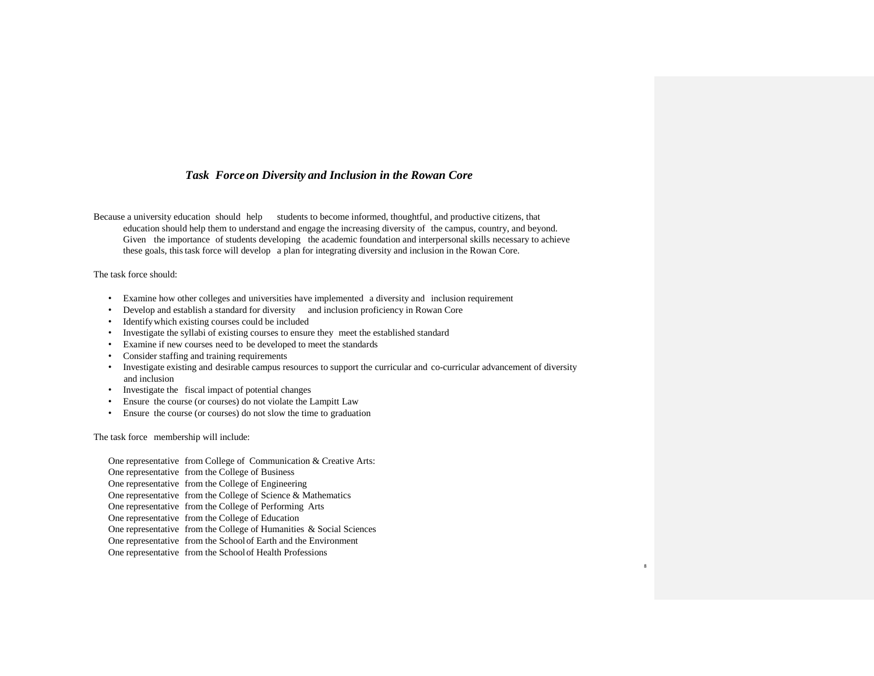## *Task Forceon Diversity and Inclusion in the Rowan Core*

Because a university education should help students to become informed, thoughtful, and productive citizens, that education should help them to understand and engage the increasing diversity of the campus, country, and beyond. Given the importance of students developing the academic foundation and interpersonal skills necessary to achieve these goals, thistask force will develop a plan for integrating diversity and inclusion in the Rowan Core.

### The task force should:

- Examine how other colleges and universities have implemented a diversity and inclusion requirement
- Develop and establish a standard for diversity and inclusion proficiency in Rowan Core
- Identifywhich existing courses could be included
- Investigate the syllabi of existing courses to ensure they meet the established standard
- Examine if new courses need to be developed to meet the standards
- Consider staffing and training requirements
- Investigate existing and desirable campus resources to support the curricular and co-curricular advancement of diversity and inclusion

8

- Investigate the fiscal impact of potential changes
- Ensure the course (or courses) do not violate the Lampitt Law
- Ensure the course (or courses) do not slow the time to graduation

The task force membership will include:

One representative from College of Communication & Creative Arts: One representative from the College of Business One representative from the College of Engineering One representative from the College of Science & Mathematics One representative from the College of Performing Arts One representative from the College of Education One representative from the College of Humanities & Social Sciences One representative from the Schoolof Earth and the Environment One representative from the Schoolof Health Professions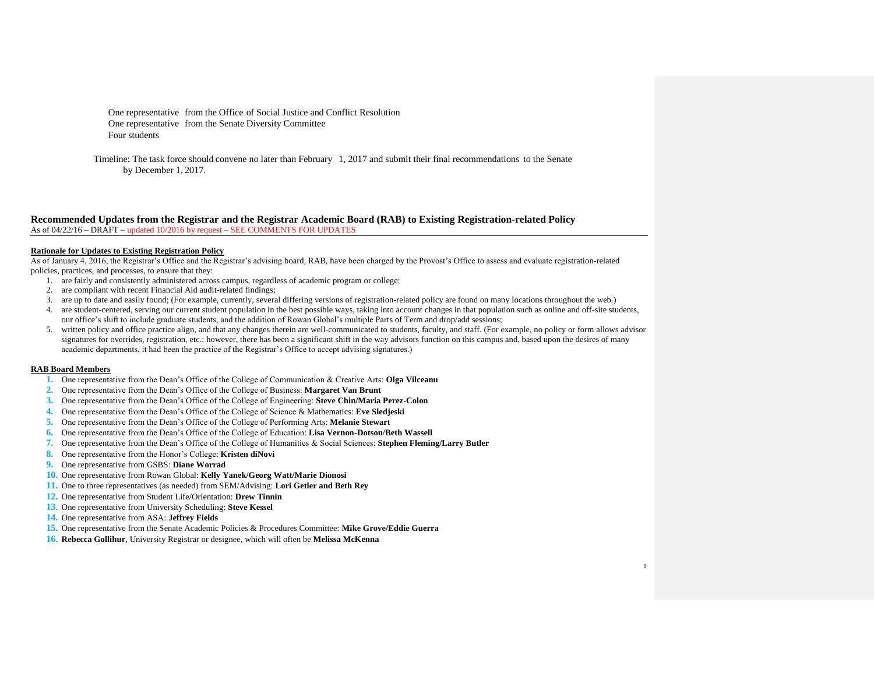One representative from the Office of Social Justice and Conflict Resolution One representative from the Senate Diversity Committee Four students

Timeline: The task force should convene no later than February 1, 2017 and submit their final recommendations to the Senate by December 1, 2017.

#### **Recommended Updates from the Registrar and the Registrar Academic Board (RAB) to Existing Registration-related Policy** As of 04/22/16 – DRAFT – updated 10/2016 by request – SEE COMMENTS FOR UPDATES

#### **Rationale for Updates to Existing Registration Policy**

As of January 4, 2016, the Registrar's Office and the Registrar's advising board, RAB, have been charged by the Provost's Office to assess and evaluate registration-related policies, practices, and processes, to ensure that they:

- 1. are fairly and consistently administered across campus, regardless of academic program or college;
- 2. are compliant with recent Financial Aid audit-related findings;
- 3. are up to date and easily found; (For example, currently, several differing versions of registration-related policy are found on many locations throughout the web.)
- 4. are student-centered, serving our current student population in the best possible ways, taking into account changes in that population such as online and off-site students, our office's shift to include graduate students, and the addition of Rowan Global's multiple Parts of Term and drop/add sessions;
- 5. written policy and office practice align, and that any changes therein are well-communicated to students, faculty, and staff. (For example, no policy or form allows advisor signatures for overrides, registration, etc.; however, there has been a significant shift in the way advisors function on this campus and, based upon the desires of many academic departments, it had been the practice of the Registrar's Office to accept advising signatures.)

9

#### **RAB Board Members**

- **1.** One representative from the Dean's Office of the College of Communication & Creative Arts: **Olga Vilceanu**
- **2.** One representative from the Dean's Office of the College of Business: **Margaret Van Brunt**
- **3.** One representative from the Dean's Office of the College of Engineering: **Steve Chin/Maria Perez-Colon**
- **4.** One representative from the Dean's Office of the College of Science & Mathematics: **Eve Sledjeski**
- **5.** One representative from the Dean's Office of the College of Performing Arts: **Melanie Stewart**
- **6.** One representative from the Dean's Office of the College of Education: **Lisa Vernon-Dotson/Beth Wassell**
- **7.** One representative from the Dean's Office of the College of Humanities & Social Sciences: **Stephen Fleming/Larry Butler**
- **8.** One representative from the Honor's College: **Kristen diNovi**
- **9.** One representative from GSBS: **Diane Worrad**
- **10.** One representative from Rowan Global: **Kelly Yanek/Georg Watt/Marie Dionosi**
- **11.** One to three representatives (as needed) from SEM/Advising: **Lori Getler and Beth Rey**
- **12.** One representative from Student Life/Orientation: **Drew Tinnin**
- **13.** One representative from University Scheduling: **Steve Kessel**
- **14.** One representative from ASA: **Jeffrey Fields**
- **15.** One representative from the Senate Academic Policies & Procedures Committee: **Mike Grove/Eddie Guerra**
- **16. Rebecca Gollihur**, University Registrar or designee, which will often be **Melissa McKenna**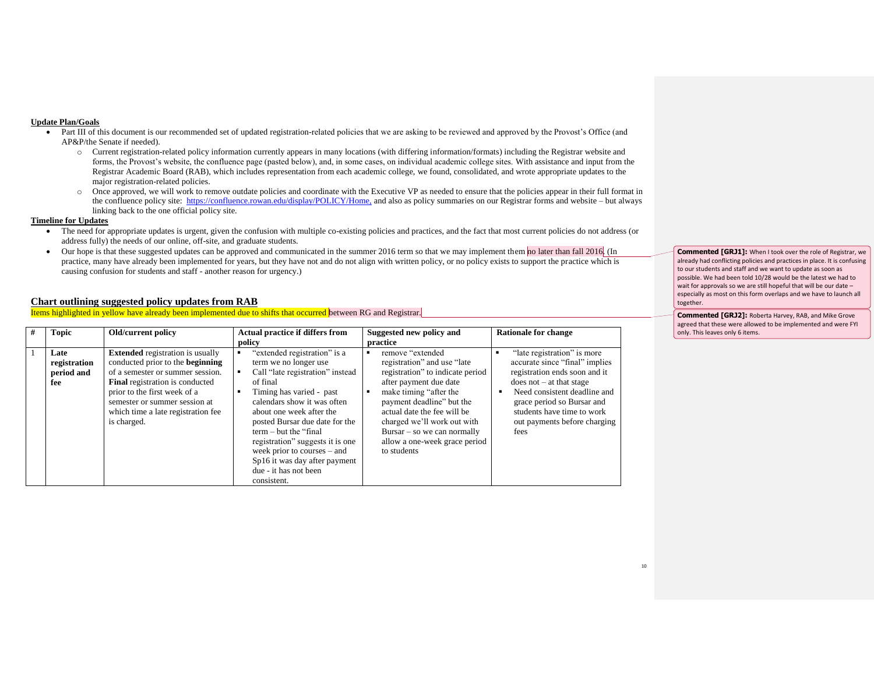#### **Update Plan/Goals**

- Part III of this document is our recommended set of updated registration-related policies that we are asking to be reviewed and approved by the Provost's Office (and AP&P/the Senate if needed).
	- o Current registration-related policy information currently appears in many locations (with differing information/formats) including the Registrar website and forms, the Provost's website, the confluence page (pasted below), and, in some cases, on individual academic college sites. With assistance and input from the Registrar Academic Board (RAB), which includes representation from each academic college, we found, consolidated, and wrote appropriate updates to the major registration-related policies.
	- o Once approved, we will work to remove outdate policies and coordinate with the Executive VP as needed to ensure that the policies appear in their full format in the confluence policy site: [https://confluence.rowan.edu/display/POLICY/Home,](https://confluence.rowan.edu/display/POLICY/Home) and also as policy summaries on our Registrar forms and website – but always linking back to the one official policy site.

#### **Timeline for Updates**

- The need for appropriate updates is urgent, given the confusion with multiple co-existing policies and practices, and the fact that most current policies do not address (or address fully) the needs of our online, off-site, and graduate students.
- Our hope is that these suggested updates can be approved and communicated in the summer 2016 term so that we may implement them no later than fall 2016. (In practice, many have already been implemented for years, but they have not and do not align with written policy, or no policy exists to support the practice which is causing confusion for students and staff - another reason for urgency.)

### **Chart outlining suggested policy updates from RAB**

Items highlighted in yellow have already been implemented due to shifts that occurred between RG and Registrar.

| Topic                                     | Old/current policy                                                                                                                                                                                                                                                       | <b>Actual practice if differs from</b>                                                                                                                                                                                                                                                                                                                                                                | Suggested new policy and                                                                                                                                                                                                                                                                                             | <b>Rationale for change</b>                                                                                                                                                                                                                                      |
|-------------------------------------------|--------------------------------------------------------------------------------------------------------------------------------------------------------------------------------------------------------------------------------------------------------------------------|-------------------------------------------------------------------------------------------------------------------------------------------------------------------------------------------------------------------------------------------------------------------------------------------------------------------------------------------------------------------------------------------------------|----------------------------------------------------------------------------------------------------------------------------------------------------------------------------------------------------------------------------------------------------------------------------------------------------------------------|------------------------------------------------------------------------------------------------------------------------------------------------------------------------------------------------------------------------------------------------------------------|
|                                           |                                                                                                                                                                                                                                                                          | policy                                                                                                                                                                                                                                                                                                                                                                                                | practice                                                                                                                                                                                                                                                                                                             |                                                                                                                                                                                                                                                                  |
| Late<br>registration<br>period and<br>fee | <b>Extended</b> registration is usually<br>conducted prior to the beginning<br>of a semester or summer session.<br>Final registration is conducted<br>prior to the first week of a<br>semester or summer session at<br>which time a late registration fee<br>is charged. | "extended registration" is a<br>term we no longer use<br>Call "late registration" instead<br>of final<br>Timing has varied - past<br>calendars show it was often<br>about one week after the<br>posted Bursar due date for the<br>$term - but the "final$<br>registration" suggests it is one<br>week prior to courses – and<br>Sp16 it was day after payment<br>due - it has not been<br>consistent. | remove "extended<br>registration" and use "late"<br>registration" to indicate period<br>after payment due date<br>make timing "after the<br>payment deadline" but the<br>actual date the fee will be<br>charged we'll work out with<br>$Bursar - so we can normally$<br>allow a one-week grace period<br>to students | "late registration" is more<br>accurate since "final" implies<br>registration ends soon and it<br>$does not - at that stage$<br>Need consistent deadline and<br>grace period so Bursar and<br>students have time to work<br>out payments before charging<br>fees |

**Commented [GRJ1]:** When I took over the role of Registrar, we already had conflicting policies and practices in place. It is confusing to our students and staff and we want to update as soon as possible. We had been told 10/28 would be the latest we had to wait for approvals so we are still hopeful that will be our date – especially as most on this form overlaps and we have to launch all together.

**Commented [GRJ2]:** Roberta Harvey, RAB, and Mike Grove agreed that these were allowed to be implemented and were FYI only. This leaves only 6 items.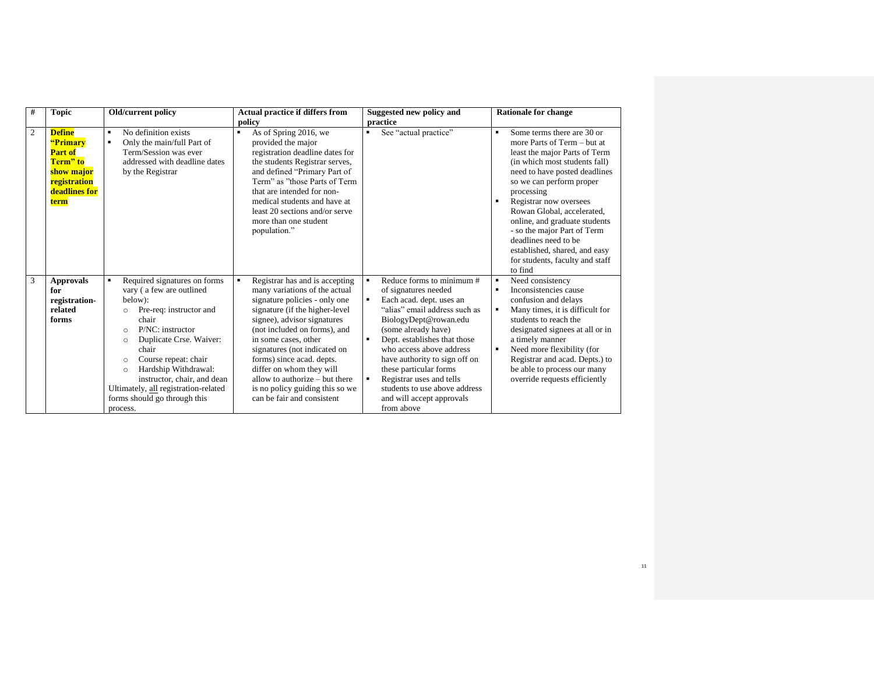| #              | <b>Topic</b>                                                                                                   | Old/current policy                                                                                                                                                                                                                                                                                                                                                                        | <b>Actual practice if differs from</b>                                                                                                                                                                                                                                                                                                                                                                                                  | Suggested new policy and                                                                                                                                                                                                                                                                                                                                                                                             | <b>Rationale for change</b>                                                                                                                                                                                                                                                                                                                                                                                                                |
|----------------|----------------------------------------------------------------------------------------------------------------|-------------------------------------------------------------------------------------------------------------------------------------------------------------------------------------------------------------------------------------------------------------------------------------------------------------------------------------------------------------------------------------------|-----------------------------------------------------------------------------------------------------------------------------------------------------------------------------------------------------------------------------------------------------------------------------------------------------------------------------------------------------------------------------------------------------------------------------------------|----------------------------------------------------------------------------------------------------------------------------------------------------------------------------------------------------------------------------------------------------------------------------------------------------------------------------------------------------------------------------------------------------------------------|--------------------------------------------------------------------------------------------------------------------------------------------------------------------------------------------------------------------------------------------------------------------------------------------------------------------------------------------------------------------------------------------------------------------------------------------|
|                |                                                                                                                |                                                                                                                                                                                                                                                                                                                                                                                           | policy                                                                                                                                                                                                                                                                                                                                                                                                                                  | practice                                                                                                                                                                                                                                                                                                                                                                                                             |                                                                                                                                                                                                                                                                                                                                                                                                                                            |
| $\overline{2}$ | <b>Define</b><br>"Primary<br><b>Part of</b><br>Term" to<br>show major<br>registration<br>deadlines for<br>term | No definition exists<br>$\blacksquare$<br>Only the main/full Part of<br>Term/Session was ever<br>addressed with deadline dates<br>by the Registrar                                                                                                                                                                                                                                        | As of Spring 2016, we<br>$\blacksquare$<br>provided the major<br>registration deadline dates for<br>the students Registrar serves,<br>and defined "Primary Part of<br>Term" as "those Parts of Term<br>that are intended for non-<br>medical students and have at<br>least 20 sections and/or serve<br>more than one student<br>population."                                                                                            | See "actual practice"<br>٠                                                                                                                                                                                                                                                                                                                                                                                           | Some terms there are 30 or<br>٠<br>more Parts of Term – but at<br>least the major Parts of Term<br>(in which most students fall)<br>need to have posted deadlines<br>so we can perform proper<br>processing<br>Registrar now oversees<br>Rowan Global, accelerated,<br>online, and graduate students<br>- so the major Part of Term<br>deadlines need to be<br>established, shared, and easy<br>for students, faculty and staff<br>to find |
| 3              | <b>Approvals</b><br>for<br>registration-<br>related<br>forms                                                   | Required signatures on forms<br>vary (a few are outlined<br>below):<br>Pre-req: instructor and<br>$\circ$<br>chair<br>P/NC: instructor<br>$\circ$<br>Duplicate Crse. Waiver:<br>$\circ$<br>chair<br>Course repeat: chair<br>$\circ$<br>Hardship Withdrawal:<br>$\circ$<br>instructor, chair, and dean<br>Ultimately, all registration-related<br>forms should go through this<br>process. | Registrar has and is accepting<br>$\blacksquare$<br>many variations of the actual<br>signature policies - only one<br>signature (if the higher-level<br>signee), advisor signatures<br>(not included on forms), and<br>in some cases, other<br>signatures (not indicated on<br>forms) since acad. depts.<br>differ on whom they will<br>allow to authorize – but there<br>is no policy guiding this so we<br>can be fair and consistent | Reduce forms to minimum #<br>$\blacksquare$<br>of signatures needed<br>Each acad. dept. uses an<br>"alias" email address such as<br>BiologyDept@rowan.edu<br>(some already have)<br>Dept. establishes that those<br>٠<br>who access above address<br>have authority to sign off on<br>these particular forms<br>Registrar uses and tells<br>students to use above address<br>and will accept approvals<br>from above | Need consistency<br>٠<br>Inconsistencies cause<br>confusion and delays<br>Many times, it is difficult for<br>٠<br>students to reach the<br>designated signees at all or in<br>a timely manner<br>Need more flexibility (for<br>Registrar and acad. Depts.) to<br>be able to process our many<br>override requests efficiently                                                                                                              |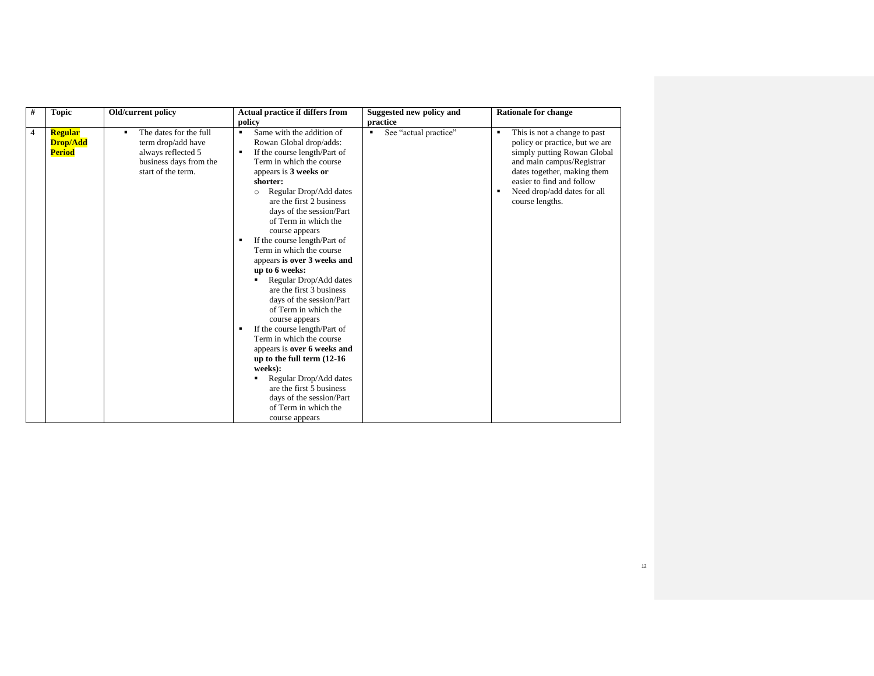| # | <b>Topic</b>                                       | Old/current policy                                                                                                      | <b>Actual practice if differs from</b>                                                                                                                                                                                                                                                                                                                                                                                                                                                                                                                                                                                                                                                                                                                                                                                | Suggested new policy and   | <b>Rationale for change</b>                                                                                                                                                                                                                        |
|---|----------------------------------------------------|-------------------------------------------------------------------------------------------------------------------------|-----------------------------------------------------------------------------------------------------------------------------------------------------------------------------------------------------------------------------------------------------------------------------------------------------------------------------------------------------------------------------------------------------------------------------------------------------------------------------------------------------------------------------------------------------------------------------------------------------------------------------------------------------------------------------------------------------------------------------------------------------------------------------------------------------------------------|----------------------------|----------------------------------------------------------------------------------------------------------------------------------------------------------------------------------------------------------------------------------------------------|
|   |                                                    |                                                                                                                         | policy                                                                                                                                                                                                                                                                                                                                                                                                                                                                                                                                                                                                                                                                                                                                                                                                                | practice                   |                                                                                                                                                                                                                                                    |
| 4 | <b>Regular</b><br><b>Drop/Add</b><br><b>Period</b> | The dates for the full<br>٠<br>term drop/add have<br>always reflected 5<br>business days from the<br>start of the term. | Same with the addition of<br>٠<br>Rowan Global drop/adds:<br>If the course length/Part of<br>٠<br>Term in which the course<br>appears is 3 weeks or<br>shorter:<br>Regular Drop/Add dates<br>$\circ$<br>are the first 2 business<br>days of the session/Part<br>of Term in which the<br>course appears<br>If the course length/Part of<br>Term in which the course<br>appears is over 3 weeks and<br>up to 6 weeks:<br>Regular Drop/Add dates<br>are the first 3 business<br>days of the session/Part<br>of Term in which the<br>course appears<br>If the course length/Part of<br>٠<br>Term in which the course<br>appears is over 6 weeks and<br>up to the full term (12-16)<br>weeks):<br>Regular Drop/Add dates<br>are the first 5 business<br>days of the session/Part<br>of Term in which the<br>course appears | See "actual practice"<br>٠ | This is not a change to past<br>٠<br>policy or practice, but we are<br>simply putting Rowan Global<br>and main campus/Registrar<br>dates together, making them<br>easier to find and follow<br>Need drop/add dates for all<br>٠<br>course lengths. |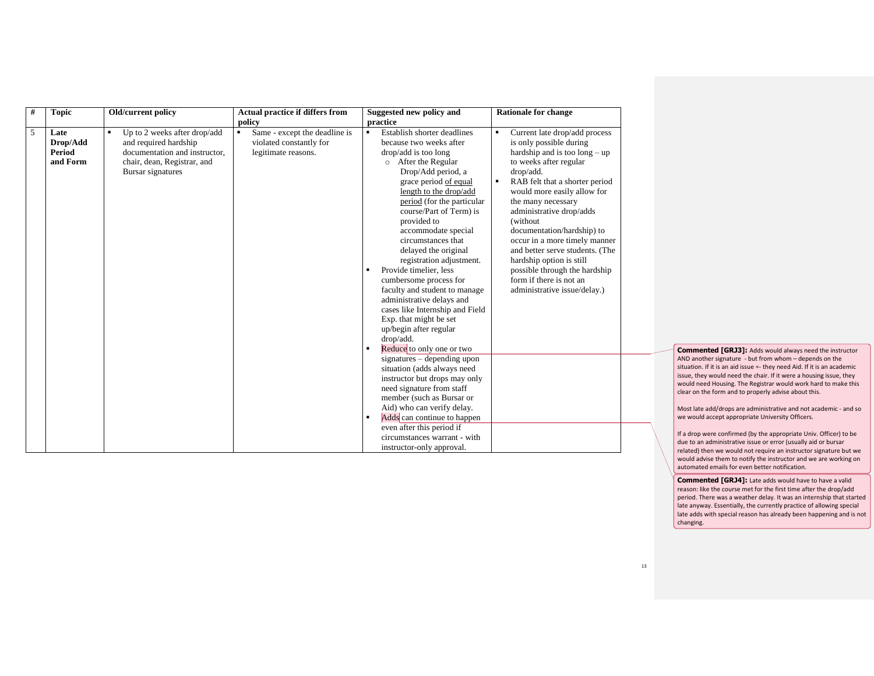| # | <b>Topic</b>                           | Old/current policy                                                                                                                              | Actual practice if differs from<br>policy                                                         | Suggested new policy and<br>practice                                                                                                                                                                                                                                                                                                                                                                                                                                                                                                                                                   | <b>Rationale for change</b>                                                                                                                                                                                                                                                                                                                                                                                                                                                                                          |
|---|----------------------------------------|-------------------------------------------------------------------------------------------------------------------------------------------------|---------------------------------------------------------------------------------------------------|----------------------------------------------------------------------------------------------------------------------------------------------------------------------------------------------------------------------------------------------------------------------------------------------------------------------------------------------------------------------------------------------------------------------------------------------------------------------------------------------------------------------------------------------------------------------------------------|----------------------------------------------------------------------------------------------------------------------------------------------------------------------------------------------------------------------------------------------------------------------------------------------------------------------------------------------------------------------------------------------------------------------------------------------------------------------------------------------------------------------|
| 5 | Late<br>Drop/Add<br>Period<br>and Form | Up to 2 weeks after drop/add<br>٠<br>and required hardship<br>documentation and instructor.<br>chair, dean, Registrar, and<br>Bursar signatures | Same - except the deadline is<br>$\blacksquare$<br>violated constantly for<br>legitimate reasons. | Establish shorter deadlines<br>because two weeks after<br>drop/add is too long<br>After the Regular<br>$\circ$<br>Drop/Add period, a<br>grace period of equal<br>length to the drop/add<br>period (for the particular<br>course/Part of Term) is<br>provided to<br>accommodate special<br>circumstances that<br>delayed the original<br>registration adjustment.<br>Provide timelier, less<br>cumbersome process for<br>faculty and student to manage<br>administrative delays and<br>cases like Internship and Field<br>Exp. that might be set<br>up/begin after regular<br>drop/add. | Current late drop/add process<br>is only possible during<br>hardship and is too $\log - \text{up}$<br>to weeks after regular<br>drop/add.<br>RAB felt that a shorter period<br>$\blacksquare$<br>would more easily allow for<br>the many necessary<br>administrative drop/adds<br>(without<br>documentation/hardship) to<br>occur in a more timely manner<br>and better serve students. (The<br>hardship option is still<br>possible through the hardship<br>form if there is not an<br>administrative issue/delay.) |
|   |                                        |                                                                                                                                                 |                                                                                                   | Reduce to only one or two<br>signatures – depending upon<br>situation (adds always need<br>instructor but drops may only<br>need signature from staff<br>member (such as Bursar or<br>Aid) who can verify delay.<br>Adds can continue to happen<br>even after this period if<br>circumstances warrant - with<br>instructor-only approval.                                                                                                                                                                                                                                              |                                                                                                                                                                                                                                                                                                                                                                                                                                                                                                                      |

**Commented [GRJ3]:** Adds would always need the instructor AND another signature - but from whom – depends on the situation. If it is an aid issue =- they need Aid. If it is an academic issue, they would need the chair. If it were a housing issue, they would need Housing. The Registrar would work hard to make this clear on the form and to properly advise about this.

Most late add/drops are administrative and not academic - and so we would accept appropriate University Officers.

If a drop were confirmed (by the appropriate Univ. Officer) to be due to an administrative issue or error (usually aid or bursar related) then we would not require an instructor signature but we would advise them to notify the instructor and we are working on automated emails for even better notification.

**Commented [GRJ4]:** Late adds would have to have a valid reason: like the course met for the first time after the drop/add period. There was a weather delay. It was an internship that started late anyway. Essentially, the currently practice of allowing special late adds with special reason has already been happening and is not changing.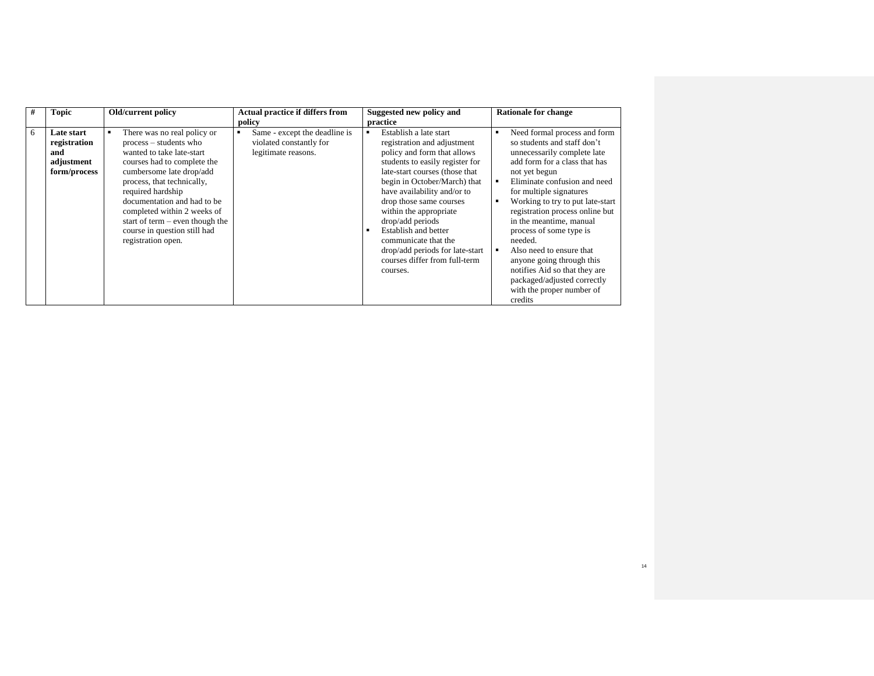| # | <b>Topic</b>                                                    | Old/current policy                                                                                                                                                                                                                                                                                                                                        | Actual practice if differs from<br>policy                                       | Suggested new policy and<br>practice                                                                                                                                                                                                                                                                                                                                                                                                                | <b>Rationale for change</b>                                                                                                                                                                                                                                                                                                                                                                                                                                                                                      |
|---|-----------------------------------------------------------------|-----------------------------------------------------------------------------------------------------------------------------------------------------------------------------------------------------------------------------------------------------------------------------------------------------------------------------------------------------------|---------------------------------------------------------------------------------|-----------------------------------------------------------------------------------------------------------------------------------------------------------------------------------------------------------------------------------------------------------------------------------------------------------------------------------------------------------------------------------------------------------------------------------------------------|------------------------------------------------------------------------------------------------------------------------------------------------------------------------------------------------------------------------------------------------------------------------------------------------------------------------------------------------------------------------------------------------------------------------------------------------------------------------------------------------------------------|
| 6 | Late start<br>registration<br>and<br>adjustment<br>form/process | There was no real policy or<br>process – students who<br>wanted to take late-start<br>courses had to complete the<br>cumbersome late drop/add<br>process, that technically,<br>required hardship<br>documentation and had to be<br>completed within 2 weeks of<br>start of term $-$ even though the<br>course in question still had<br>registration open. | Same - except the deadline is<br>violated constantly for<br>legitimate reasons. | Establish a late start<br>$\blacksquare$<br>registration and adjustment<br>policy and form that allows<br>students to easily register for<br>late-start courses (those that<br>begin in October/March) that<br>have availability and/or to<br>drop those same courses<br>within the appropriate<br>drop/add periods<br>Establish and better<br>communicate that the<br>drop/add periods for late-start<br>courses differ from full-term<br>courses. | Need formal process and form<br>so students and staff don't<br>unnecessarily complete late<br>add form for a class that has<br>not yet begun<br>Eliminate confusion and need<br>for multiple signatures<br>Working to try to put late-start<br>registration process online but<br>in the meantime, manual<br>process of some type is<br>needed.<br>Also need to ensure that<br>anyone going through this<br>notifies Aid so that they are<br>packaged/adjusted correctly<br>with the proper number of<br>credits |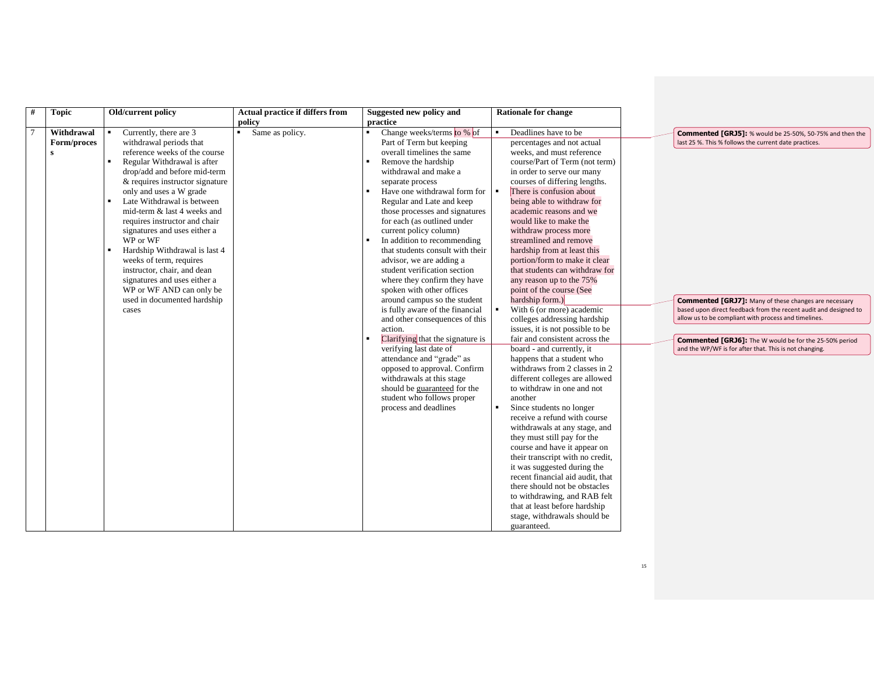| #<br><b>Topic</b>                            | Old/current policy                                                                                                                                                                                                                                                                                                                                                                                                                                                                                                                                                              | Actual practice if differs from           | Suggested new policy and                                                                                                                                                                                                                                                                                                                                                                                                                                                                                                                                                                                                                                                                                                                                                                                                                                                                | <b>Rationale for change</b>                                                                                                                                                                                                                                                                                                                                                                                                                                                                                                                                                                                                                                                                                                                                                                                                                                                                                                                                                                                                                                                                                                                                                                                                                                   |                                                                                                                                                                                                                                                                                                                                                                                                                                          |
|----------------------------------------------|---------------------------------------------------------------------------------------------------------------------------------------------------------------------------------------------------------------------------------------------------------------------------------------------------------------------------------------------------------------------------------------------------------------------------------------------------------------------------------------------------------------------------------------------------------------------------------|-------------------------------------------|-----------------------------------------------------------------------------------------------------------------------------------------------------------------------------------------------------------------------------------------------------------------------------------------------------------------------------------------------------------------------------------------------------------------------------------------------------------------------------------------------------------------------------------------------------------------------------------------------------------------------------------------------------------------------------------------------------------------------------------------------------------------------------------------------------------------------------------------------------------------------------------------|---------------------------------------------------------------------------------------------------------------------------------------------------------------------------------------------------------------------------------------------------------------------------------------------------------------------------------------------------------------------------------------------------------------------------------------------------------------------------------------------------------------------------------------------------------------------------------------------------------------------------------------------------------------------------------------------------------------------------------------------------------------------------------------------------------------------------------------------------------------------------------------------------------------------------------------------------------------------------------------------------------------------------------------------------------------------------------------------------------------------------------------------------------------------------------------------------------------------------------------------------------------|------------------------------------------------------------------------------------------------------------------------------------------------------------------------------------------------------------------------------------------------------------------------------------------------------------------------------------------------------------------------------------------------------------------------------------------|
| $7\phantom{.0}$<br>Withdrawal<br>Form/proces | Currently, there are 3<br>٠<br>withdrawal periods that<br>reference weeks of the course<br>Regular Withdrawal is after<br>drop/add and before mid-term<br>& requires instructor signature<br>only and uses a W grade<br>Late Withdrawal is between<br>mid-term & last 4 weeks and<br>requires instructor and chair<br>signatures and uses either a<br>WP or WF<br>$\blacksquare$<br>Hardship Withdrawal is last 4<br>weeks of term, requires<br>instructor, chair, and dean<br>signatures and uses either a<br>WP or WF AND can only be<br>used in documented hardship<br>cases | policy<br>Same as policy.<br>$\mathbf{r}$ | practice<br>Change weeks/terms to % of<br>Part of Term but keeping<br>overall timelines the same<br>Remove the hardship<br>withdrawal and make a<br>separate process<br>Have one withdrawal form for<br>Regular and Late and keep<br>those processes and signatures<br>for each (as outlined under<br>current policy column)<br>In addition to recommending<br>that students consult with their<br>advisor, we are adding a<br>student verification section<br>where they confirm they have<br>spoken with other offices<br>around campus so the student<br>is fully aware of the financial<br>and other consequences of this<br>action.<br>Clarifying that the signature is<br>verifying last date of<br>attendance and "grade" as<br>opposed to approval. Confirm<br>withdrawals at this stage<br>should be guaranteed for the<br>student who follows proper<br>process and deadlines | Deadlines have to be<br>percentages and not actual<br>weeks, and must reference<br>course/Part of Term (not term)<br>in order to serve our many<br>courses of differing lengths.<br>There is confusion about<br>being able to withdraw for<br>academic reasons and we<br>would like to make the<br>withdraw process more<br>streamlined and remove<br>hardship from at least this<br>portion/form to make it clear<br>that students can withdraw for<br>any reason up to the 75%<br>point of the course (See<br>hardship form.)<br>With 6 (or more) academic<br>colleges addressing hardship<br>issues, it is not possible to be<br>fair and consistent across the<br>board - and currently, it<br>happens that a student who<br>withdraws from 2 classes in 2<br>different colleges are allowed<br>to withdraw in one and not<br>another<br>Since students no longer<br>receive a refund with course<br>withdrawals at any stage, and<br>they must still pay for the<br>course and have it appear on<br>their transcript with no credit,<br>it was suggested during the<br>recent financial aid audit, that<br>there should not be obstacles<br>to withdrawing, and RAB felt<br>that at least before hardship<br>stage, withdrawals should be<br>guaranteed. | Commented [GRJ5]: % would be 25-50%, 50-75% and then the<br>last 25 %. This % follows the current date practices.<br><b>Commented [GRJ7]:</b> Many of these changes are necessary<br>based upon direct feedback from the recent audit and designed to<br>allow us to be compliant with process and timelines.<br><b>Commented [GRJ6]:</b> The W would be for the 25-50% period<br>and the WP/WF is for after that. This is not changing. |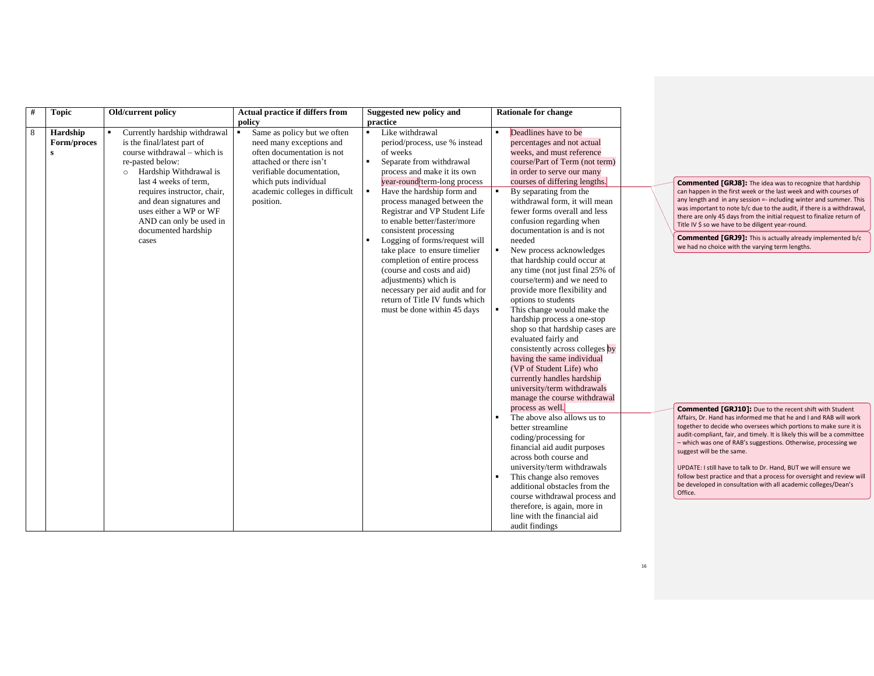| # | <b>Topic</b>                            | Old/current policy                                                                                                                                                                                                                                                                                                                  | Actual practice if differs from<br>policy                                                                                                                                                                                               | Suggested new policy and<br>practice                                                                                                                                                                                                                                                                                                                                                                                                                                                                                                                                                                            | <b>Rationale for change</b>                                                                                                                                                                                                                                                                                                                                                                                                                                                                                                                                                                                                                                                                                                                                                                                                                                       |  |
|---|-----------------------------------------|-------------------------------------------------------------------------------------------------------------------------------------------------------------------------------------------------------------------------------------------------------------------------------------------------------------------------------------|-----------------------------------------------------------------------------------------------------------------------------------------------------------------------------------------------------------------------------------------|-----------------------------------------------------------------------------------------------------------------------------------------------------------------------------------------------------------------------------------------------------------------------------------------------------------------------------------------------------------------------------------------------------------------------------------------------------------------------------------------------------------------------------------------------------------------------------------------------------------------|-------------------------------------------------------------------------------------------------------------------------------------------------------------------------------------------------------------------------------------------------------------------------------------------------------------------------------------------------------------------------------------------------------------------------------------------------------------------------------------------------------------------------------------------------------------------------------------------------------------------------------------------------------------------------------------------------------------------------------------------------------------------------------------------------------------------------------------------------------------------|--|
| 8 | Hardship<br>Form/proces<br>$\mathbf{s}$ | Currently hardship withdrawal<br>٠.<br>is the final/latest part of<br>course withdrawal – which is<br>re-pasted below:<br>Hardship Withdrawal is<br>$\circ$<br>last 4 weeks of term.<br>requires instructor, chair,<br>and dean signatures and<br>uses either a WP or WF<br>AND can only be used in<br>documented hardship<br>cases | $\blacksquare$<br>Same as policy but we often<br>need many exceptions and<br>often documentation is not<br>attached or there isn't<br>verifiable documentation,<br>which puts individual<br>academic colleges in difficult<br>position. | Like withdrawal<br>$\blacksquare$<br>period/process, use % instead<br>of weeks<br>$\blacksquare$<br>Separate from withdrawal<br>process and make it its own<br>year-round/term-long process<br>Have the hardship form and<br>process managed between the<br>Registrar and VP Student Life<br>to enable better/faster/more<br>consistent processing<br>Logging of forms/request will<br>take place to ensure timelier<br>completion of entire process<br>(course and costs and aid)<br>adjustments) which is<br>necessary per aid audit and for<br>return of Title IV funds which<br>must be done within 45 days | Deadlines have to be<br>٠<br>percentages and not actual<br>weeks, and must reference<br>course/Part of Term (not term)<br>in order to serve our many<br>courses of differing lengths.<br>By separating from the<br>withdrawal form, it will mean<br>fewer forms overall and less<br>confusion regarding when<br>documentation is and is not<br>needed<br>٠<br>New process acknowledges<br>that hardship could occur at<br>any time (not just final 25% of<br>course/term) and we need to<br>provide more flexibility and<br>options to students<br>This change would make the<br>hardship process a one-stop<br>shop so that hardship cases are<br>evaluated fairly and<br>consistently across colleges by<br>having the same individual<br>(VP of Student Life) who<br>currently handles hardship<br>university/term withdrawals<br>manage the course withdrawal |  |
|   |                                         |                                                                                                                                                                                                                                                                                                                                     |                                                                                                                                                                                                                                         |                                                                                                                                                                                                                                                                                                                                                                                                                                                                                                                                                                                                                 | process as well.<br>The above also allows us to<br>$\blacksquare$<br>better streamline<br>coding/processing for<br>financial aid audit purposes<br>across both course and<br>university/term withdrawals<br>This change also removes<br>٠<br>additional obstacles from the<br>course withdrawal process and<br>therefore, is again, more in<br>line with the financial aid<br>audit findings                                                                                                                                                                                                                                                                                                                                                                                                                                                                      |  |

**Commented [GRJ8]:** The idea was to recognize that hardship can happen in the first week or the last week and with courses of any length and in any session =- including winter and summer. This was important to note b/c due to the audit, if there is a withdrawal, there are only 45 days from the initial request to finalize return of Title IV \$ so we have to be diligent year-round.

**Commented [GRJ9]:** This is actually already implemented b/c we had no choice with the varying term lengths.

**Commented [GRJ10]:** Due to the recent shift with Student Affairs, Dr. Hand has informed me that he and I and RAB will work together to decide who oversees which portions to make sure it is audit-compliant, fair, and timely. It is likely this will be a committee – which was one of RAB's suggestions. Otherwise, processing we suggest will be the same.

UPDATE: I still have to talk to Dr. Hand, BUT we will ensure we follow best practice and that a process for oversight and review will be developed in consultation with all academic colleges/Dean's Office.